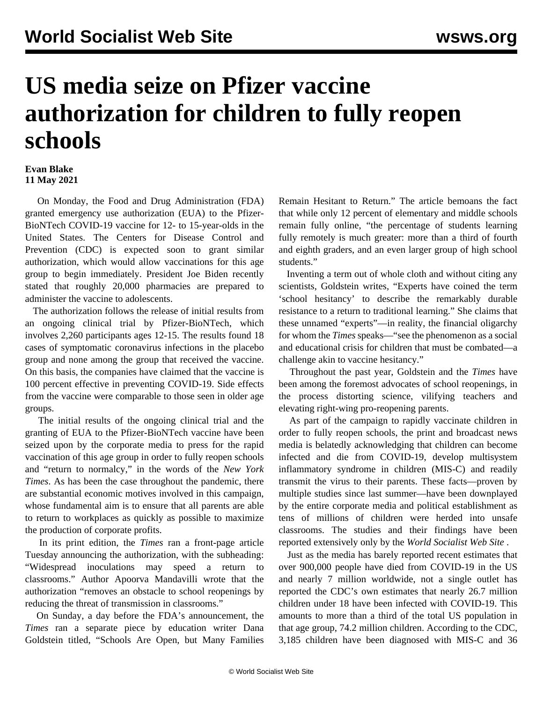## **US media seize on Pfizer vaccine authorization for children to fully reopen schools**

## **Evan Blake 11 May 2021**

 On Monday, the Food and Drug Administration (FDA) granted emergency use authorization (EUA) to the Pfizer-BioNTech COVID-19 vaccine for 12- to 15-year-olds in the United States. The Centers for Disease Control and Prevention (CDC) is expected soon to grant similar authorization, which would allow vaccinations for this age group to begin immediately. President Joe Biden recently stated that roughly 20,000 pharmacies are prepared to administer the vaccine to adolescents.

 The authorization follows the release of initial results from an ongoing clinical trial by Pfizer-BioNTech, which involves 2,260 participants ages 12-15. The results found 18 cases of symptomatic coronavirus infections in the placebo group and none among the group that received the vaccine. On this basis, the companies have claimed that the vaccine is 100 percent effective in preventing COVID-19. Side effects from the vaccine were comparable to those seen in older age groups.

 The initial results of the ongoing clinical trial and the granting of EUA to the Pfizer-BioNTech vaccine have been seized upon by the corporate media to press for the rapid vaccination of this age group in order to fully reopen schools and "return to normalcy," in the words of the *New York Times*. As has been the case throughout the pandemic, there are substantial economic motives involved in this campaign, whose fundamental aim is to ensure that all parents are able to return to workplaces as quickly as possible to maximize the production of corporate profits.

 In its print edition, the *Times* ran a front-page article Tuesday announcing the authorization, with the subheading: "Widespread inoculations may speed a return to classrooms." Author Apoorva Mandavilli wrote that the authorization "removes an obstacle to school reopenings by reducing the threat of transmission in classrooms."

 On Sunday, a day before the FDA's announcement, the *Times* ran a separate piece by education writer Dana Goldstein titled, "Schools Are Open, but Many Families Remain Hesitant to Return." The article bemoans the fact that while only 12 percent of elementary and middle schools remain fully online, "the percentage of students learning fully remotely is much greater: more than a third of fourth and eighth graders, and an even larger group of high school students."

 Inventing a term out of whole cloth and without citing any scientists, Goldstein writes, "Experts have coined the term 'school hesitancy' to describe the remarkably durable resistance to a return to traditional learning." She claims that these unnamed "experts"—in reality, the financial oligarchy for whom the *Times* speaks—"see the phenomenon as a social and educational crisis for children that must be combated—a challenge akin to vaccine hesitancy."

 Throughout the past year, Goldstein and the *Times* have been among the foremost advocates of school reopenings, in the process distorting science, vilifying teachers and elevating right-wing pro-reopening parents.

 As part of the campaign to rapidly vaccinate children in order to fully reopen schools, the print and broadcast news media is belatedly acknowledging that children can become infected and die from COVID-19, develop multisystem inflammatory syndrome in children (MIS-C) and readily transmit the virus to their parents. These facts—proven by [multiple studies](/en/articles/2021/02/01/cdc1-f01.html) since last summer—have been downplayed by the entire corporate media and political establishment as tens of millions of children were herded into unsafe classrooms. The studies and their findings have been reported extensively only by the *World Socialist Web Site* .

 Just as the media has barely reported [recent estimates](/en/articles/2021/05/08/pers-m08.html) that over 900,000 people have died from COVID-19 in the US and nearly 7 million worldwide, not a single outlet has reported the [CDC's own estimates](https://www.cdc.gov/coronavirus/2019-ncov/cases-updates/burden.html#print) that nearly 26.7 million children under 18 have been infected with COVID-19. This amounts to more than a third of the total US population in that age group, 74.2 million children. According to the CDC, 3,185 children have been diagnosed with MIS-C and 36